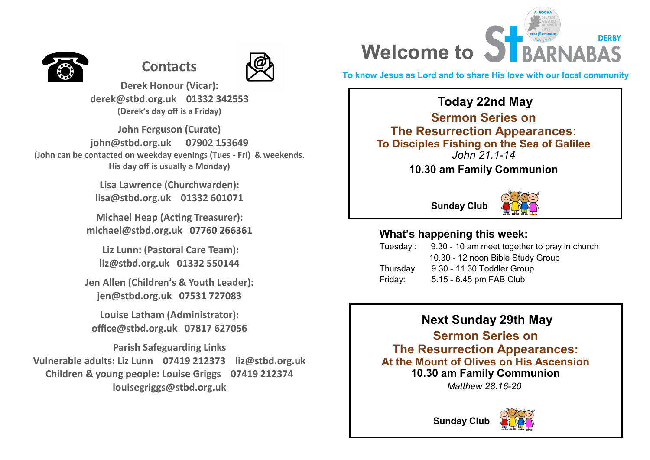

# **Contacts**



**Derek Honour (Vicar): derek@stbd.org.uk 01332 342553 (Derek's day off is a Friday)** 

**John Ferguson (Curate) john@stbd.org.uk 07902 153649 (John can be contacted on weekday evenings (Tues - Fri) & weekends. His day off is usually a Monday)**

> **Lisa Lawrence (Churchwarden): lisa@stbd.org.uk 01332 601071**

**Michael Heap (Acting Treasurer): michael@stbd.org.uk 07760 266361** 

**Liz Lunn: (Pastoral Care Team): liz@stbd.org.uk 01332 550144**

**Jen Allen (Children's & Youth Leader): jen@stbd.org.uk 07531 727083**

**Louise Latham (Administrator): office@stbd.org.uk 07817 627056**

**Parish Safeguarding Links Vulnerable adults: Liz Lunn 07419 212373 liz@stbd.org.uk Children & young people: Louise Griggs 07419 212374 louisegriggs@stbd.org.uk**

## **DERBY Welcome to ST BARNABAS**

**To know Jesus as Lord and to share His love with our local community**

## **Today 22nd May**

**Sermon Series on The Resurrection Appearances: To Disciples Fishing on the Sea of Galilee** *John 21.1-14*

**10.30 am Family Communion**

**Sunday Club**



#### **What's happening this week:**

| 9.30 - 10 am meet together to pray in church |
|----------------------------------------------|
| 10.30 - 12 noon Bible Study Group            |
| 9.30 - 11.30 Toddler Group                   |
| 5.15 - 6.45 pm FAB Club                      |
|                                              |

## **Next Sunday 29th May**

**Sermon Series on The Resurrection Appearances: At the Mount of Olives on His Ascension 10.30 am Family Communion**

*Matthew 28.16-20*



**Sunday Club**